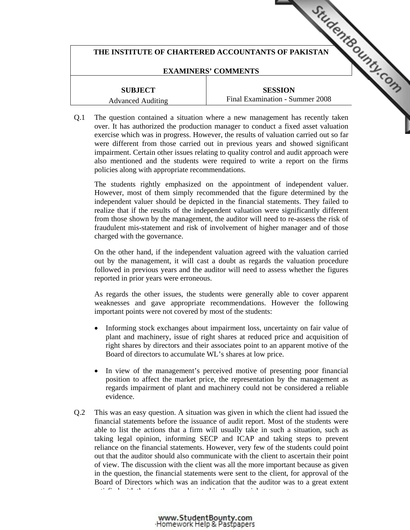# THE INSTITUTE OF CHARTERED ACCOUNTANTS OF PAKISTAN **COUNTAINS OF ALS AND THE UP OF PAKISTAN**

### **EXAMINERS' COMMENTS**

**SUBJECT**  Advanced Auditing

**SESSION**  Final Examination - Summer 2008

Q.1 The question contained a situation where a new management has recently taken over. It has authorized the production manager to conduc[t a fixed asset valuation](http://www.studentbounty.com/)  exercise which was in progress. However, the results of valuation carried out so far were different from those carried out in previous years and showed significant impairment. Certain other issues relating to quality control and audit approach were also mentioned and the students were required to write a report on the firms policies along with appropriate recommendations.

The students rightly emphasized on the appointment of independent valuer. However, most of them simply recommended that the figure determined by the independent valuer should be depicted in the financial statements. They failed to realize that if the results of the independent valuation were significantly different from those shown by the management, the auditor will need to re-assess the risk of fraudulent mis-statement and risk of involvement of higher manager and of those charged with the governance.

 On the other hand, if the independent valuation agreed with the valuation carried out by the management, it will cast a doubt as regards the valuation procedure followed in previous years and the auditor will need to assess whether the figures reported in prior years were erroneous.

 As regards the other issues, the students were generally able to cover apparent weaknesses and gave appropriate recommendations. However the following important points were not covered by most of the students:

- Informing stock exchanges about impairment loss, uncertainty on fair value of plant and machinery, issue of right shares at reduced price and acquisition of right shares by directors and their associates point to an apparent motive of the Board of directors to accumulate WL's shares at low price.
- In view of the management's perceived motive of presenting poor financial position to affect the market price, the representation by the management as regards impairment of plant and machinery could not be considered a reliable evidence.
- Q.2 This was an easy question. A situation was given in which the client had issued the financial statements before the issuance of audit report. Most of the students were able to list the actions that a firm will usually take in such a situation, such as taking legal opinion, informing SECP and ICAP and taking steps to prevent reliance on the financial statements. However, very few of the students could point out that the auditor should also communicate with the client to ascertain their point of view. The discussion with the client was all the more important because as given in the question, the financial statements were sent to the client, for approval of the Board of Directors which was an indication that the auditor was to a great extent satisfied with the information depicted in the financial statements.

www.StudentBounty.com Homework Help & Pastpapers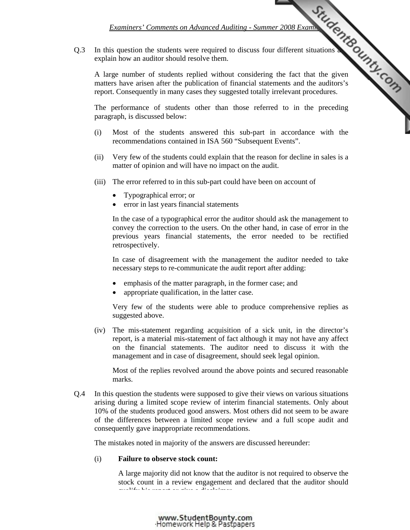### *Examiners' Comments on Advanced Auditing - Summer 2008 Examination Comments*

Q.3 In this question the students were required to discuss four different situations and explain how an auditor should resolve them.

 A large number of students replied without considering the fact that the given matters have arisen after the publication of financial statements and the auditors's report. Consequently in many cases they suggested totally irrelevant procedures.

 The performance of students other than those referred to in the preceding paragraph, is discussed below:

- (i) Most of the students answered this sub-part in accordance with the recommendations contained in ISA 560 "Subsequent Events".
- (ii) Very few of the students could explain that the reason for decline in sales is a matter of opinion and will have no impact on the audit.
- (iii) The error referred to in this sub-part could have been on account of
	- Typographical error; or
	- error in last years financial statements

 In the case of a typographical error the auditor should ask the management to convey the correction to the users. On the other hand, in case of error in the previous years financial statements, the error needed to be rectified retrospectively.

 In case of disagreement with the management the auditor needed to take necessary steps to re-communicate the audit report after adding:

- emphasis of the matter paragraph, in the former case; and
- appropriate qualification, in the latter case.

 Very few of the students were able to produce comprehensive replies as suggested above.

 (iv) The mis-statement regarding acquisition of a sick unit, in the director's report, is a material mis-statement of fact although it may not have any affect on the financial statements. The auditor need to discuss it with the management and in case of disagreement, should seek legal opinion.

 Most of the replies revolved around the above points and secured reasonable marks.

Q.4 In this question the students were supposed to give their views on various situations arising during a limited scope review of interim financial statements. Only about 10% of the students produced good answers. Most others did not seem to be aware of the differences between a limited scope review and a full scope audit and consequently gave inappropriate recommendations.

The mistakes noted in majority of the answers are discussed hereunder:

### (i) **Failure to observe stock count:**

 A large majority did not know that the auditor is not required to observe the stock count in a review engagement and declared that the auditor should  $q$  and  $q$  is the positive and give a disclaimer. The following a disclaimer  $\alpha$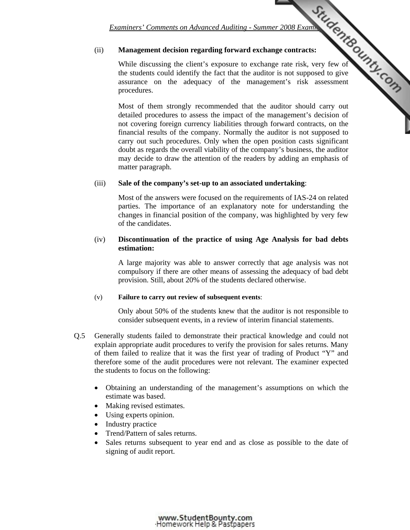## (ii) **Management decision regarding forward exchange contracts:**

*Examiners' Comments on Advanced Auditing - Summer 2008 Examination Comments on Advanced Auditing - Summer 2008 Examination Comments:*  While discussing the client's exposure to exchange rate risk, very few of the students could identify the fact that the auditor [is not supposed to give](http://www.studentbounty.com/)  assurance on the adequacy of the management's risk assessment procedures.

 Most of them strongly recommended that the auditor should carry out detailed procedures to assess the impact of the management's decision of not covering foreign currency liabilities through forward contracts, on the financial results of the company. Normally the auditor is not supposed to carry out such procedures. Only when the open position casts significant doubt as regards the overall viability of the company's business, the auditor may decide to draw the attention of the readers by adding an emphasis of matter paragraph.

### (iii) **Sale of the company's set-up to an associated undertaking**:

 Most of the answers were focused on the requirements of IAS-24 on related parties. The importance of an explanatory note for understanding the changes in financial position of the company, was highlighted by very few of the candidates.

## (iv) **Discontinuation of the practice of using Age Analysis for bad debts estimation:**

 A large majority was able to answer correctly that age analysis was not compulsory if there are other means of assessing the adequacy of bad debt provision. Still, about 20% of the students declared otherwise.

### (v) **Failure to carry out review of subsequent events**:

 Only about 50% of the students knew that the auditor is not responsible to consider subsequent events, in a review of interim financial statements.

- Q.5 Generally students failed to demonstrate their practical knowledge and could not explain appropriate audit procedures to verify the provision for sales returns. Many of them failed to realize that it was the first year of trading of Product "Y" and therefore some of the audit procedures were not relevant. The examiner expected the students to focus on the following:
	- Obtaining an understanding of the management's assumptions on which the estimate was based.
	- Making revised estimates.
	- Using experts opinion.
	- Industry practice
	- Trend/Pattern of sales returns.
	- Sales returns subsequent to year end and as close as possible to the date of signing of audit report.

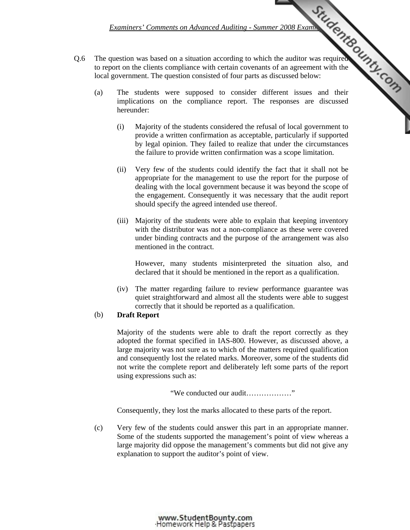*Examiners' Comments on Advanced Auditing - Summer 2008 Examination Comments* 

- Q.6 The question was based on a situation according to which the auditor was required to report on the clients compliance with certain covenants of an agreement with the local government. The question consisted of four parts as discussed below:
- (a) The students were supposed to consider different issues and their implications on the compliance report. The r[esponses are discussed](http://www.studentbounty.com/)  hereunder:
	- (i) Majority of the students considered the refusal of local government to provide a written confirmation as acceptable, particularly if supported by legal opinion. They failed to realize that under the circumstances the failure to provide written confirmation was a scope limitation.
	- (ii) Very few of the students could identify the fact that it shall not be appropriate for the management to use the report for the purpose of dealing with the local government because it was beyond the scope of the engagement. Consequently it was necessary that the audit report should specify the agreed intended use thereof.
	- (iii) Majority of the students were able to explain that keeping inventory with the distributor was not a non-compliance as these were covered under binding contracts and the purpose of the arrangement was also mentioned in the contract.

 However, many students misinterpreted the situation also, and declared that it should be mentioned in the report as a qualification.

 (iv) The matter regarding failure to review performance guarantee was quiet straightforward and almost all the students were able to suggest correctly that it should be reported as a qualification.

## (b) **Draft Report**

 Majority of the students were able to draft the report correctly as they adopted the format specified in IAS-800. However, as discussed above, a large majority was not sure as to which of the matters required qualification and consequently lost the related marks. Moreover, some of the students did not write the complete report and deliberately left some parts of the report using expressions such as:

"We conducted our audit………………"

Consequently, they lost the marks allocated to these parts of the report.

 (c) Very few of the students could answer this part in an appropriate manner. Some of the students supported the management's point of view whereas a large majority did oppose the management's comments but did not give any explanation to support the auditor's point of view.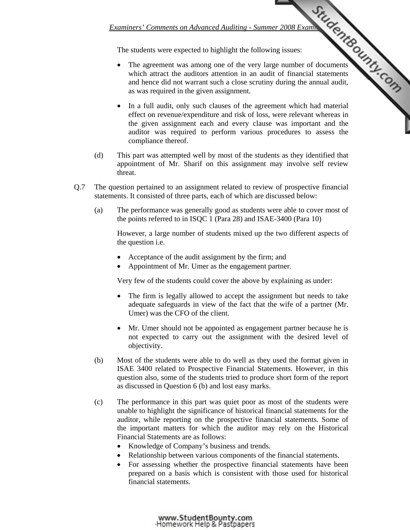The students were expected to highlight the following issues:

- *Examiners' Comments on Advanced Auditing Summer 2008 Examination Comments*<br>
The very large number of documents<br>
<sup>11</sup> the very large number of documents<br>
<sup>11</sup> the annual statements<br>
<sup>11</sup> the annual audit, The agreement was among one of the very large number of documents which attract the auditors attention in an audit of financial statements and hence did not warrant such a close scrutiny during the annual audit, as was required in the given assignment.
	- In a full audit, only such clauses of the agreement which had material effect on revenue/expenditure and risk of loss, were relevant whereas in the given assignment each and every clause [was important and the](http://www.studentbounty.com/)  auditor was required to perform various procedures to assess the compliance thereof.
- (d) This part was attempted well by most of the students as they identified that appointment of Mr. Sharif on this assignment may involve self review threat.
- Q.7 The question pertained to an assignment related to review of prospective financial statements. It consisted of three parts, each of which are discussed below:
	- (a) The performance was generally good as students were able to cover most of the points referred to in ISQC 1 (Para 28) and ISAE-3400 (Para 10)

 However, a large number of students mixed up the two different aspects of the question i.e.

- Acceptance of the audit assignment by the firm; and
- Appointment of Mr. Umer as the engagement partner.

Very few of the students could cover the above by explaining as under:

- The firm is legally allowed to accept the assignment but needs to take adequate safeguards in view of the fact that the wife of a partner (Mr. Umer) was the CFO of the client.
- Mr. Umer should not be appointed as engagement partner because he is not expected to carry out the assignment with the desired level of objectivity.
- (b) Most of the students were able to do well as they used the format given in ISAE 3400 related to Prospective Financial Statements. However, in this question also, some of the students tried to produce short form of the report as discussed in Question 6 (b) and lost easy marks.
- (c) The performance in this part was quiet poor as most of the students were unable to highlight the significance of historical financial statements for the auditor, while reporting on the prospective financial statements. Some of the important matters for which the auditor may rely on the Historical Financial Statements are as follows:
	- Knowledge of Company's business and trends.
	- Relationship between various components of the financial statements.
	- For assessing whether the prospective financial statements have been prepared on a basis which is consistent with those used for historical financial statements.